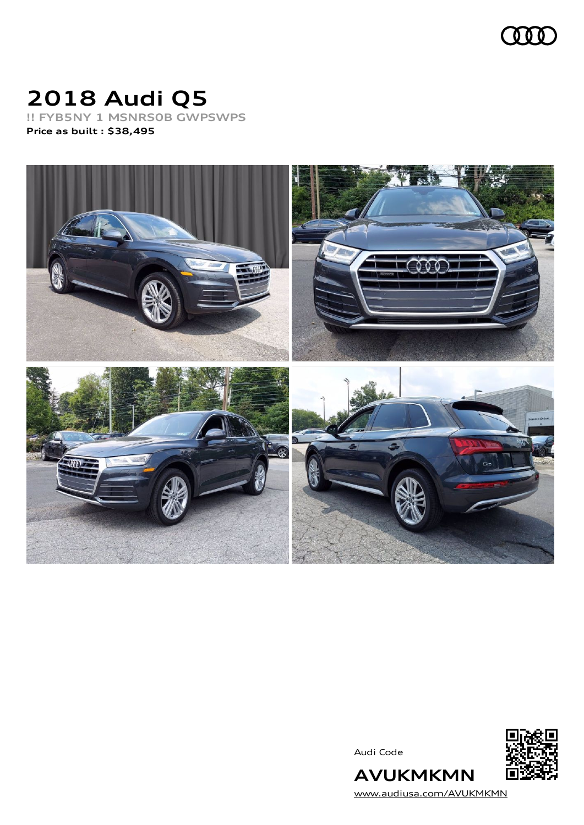

# **2018 Audi Q5**

**!! FYB5NY 1 MSNRS0B GWPSWPS Price as built [:](#page-7-0) \$38,495**



Audi Code



[www.audiusa.com/AVUKMKMN](https://www.audiusa.com/AVUKMKMN)

**AVUKMKMN**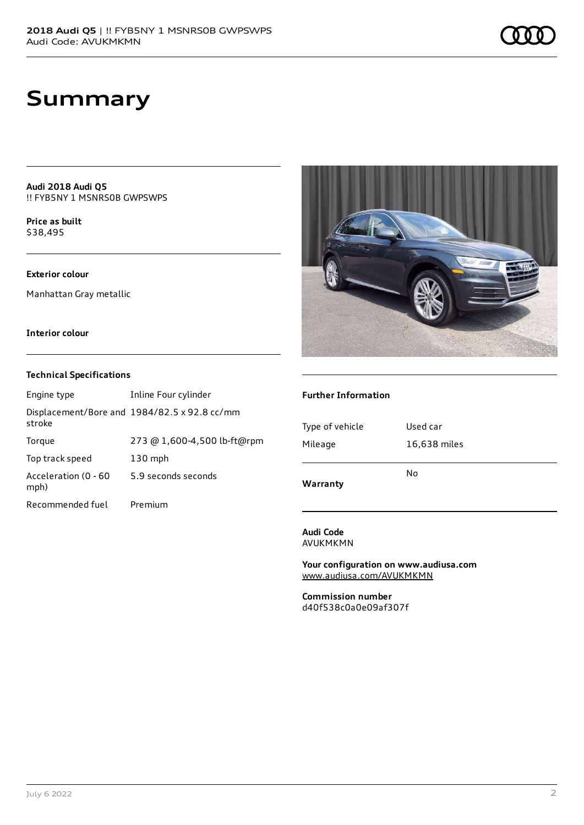**Audi 2018 Audi Q5** !! FYB5NY 1 MSNRS0B GWPSWPS

**Price as buil[t](#page-7-0)** \$38,495

#### **Exterior colour**

Manhattan Gray metallic

#### **Interior colour**

#### **Technical Specifications**

| Engine type                  | Inline Four cylinder                         |
|------------------------------|----------------------------------------------|
| stroke                       | Displacement/Bore and 1984/82.5 x 92.8 cc/mm |
| Torque                       | 273 @ 1,600-4,500 lb-ft@rpm                  |
| Top track speed              | $130$ mph                                    |
| Acceleration (0 - 60<br>mph) | 5.9 seconds seconds                          |
| Recommended fuel             | Premium                                      |



#### **Further Information**

| Warranty        | No           |
|-----------------|--------------|
| Mileage         | 16,638 miles |
| Type of vehicle | Used car     |
|                 |              |

**Audi Code** AVUKMKMN

**Your configuration on www.audiusa.com** [www.audiusa.com/AVUKMKMN](https://www.audiusa.com/AVUKMKMN)

**Commission number** d40f538c0a0e09af307f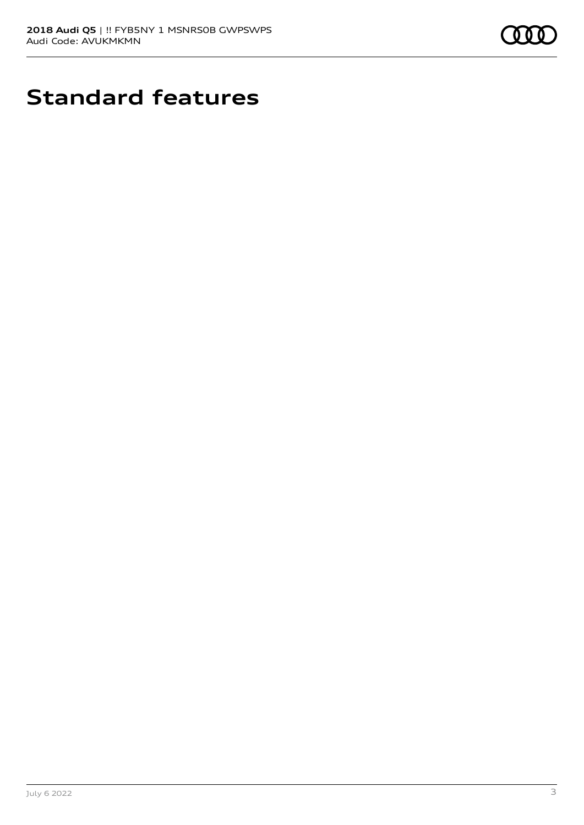

# **Standard features**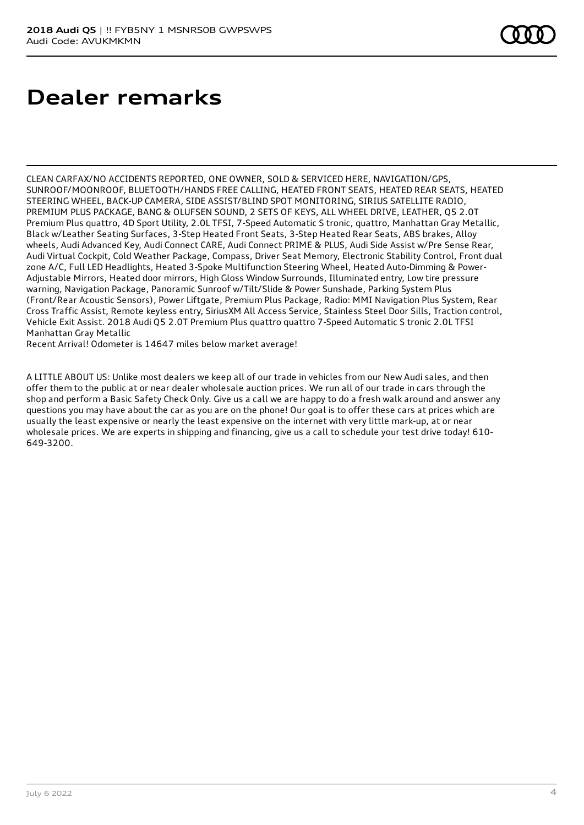# **Dealer remarks**

CLEAN CARFAX/NO ACCIDENTS REPORTED, ONE OWNER, SOLD & SERVICED HERE, NAVIGATION/GPS, SUNROOF/MOONROOF, BLUETOOTH/HANDS FREE CALLING, HEATED FRONT SEATS, HEATED REAR SEATS, HEATED STEERING WHEEL, BACK-UP CAMERA, SIDE ASSIST/BLIND SPOT MONITORING, SIRIUS SATELLITE RADIO, PREMIUM PLUS PACKAGE, BANG & OLUFSEN SOUND, 2 SETS OF KEYS, ALL WHEEL DRIVE, LEATHER, Q5 2.0T Premium Plus quattro, 4D Sport Utility, 2.0L TFSI, 7-Speed Automatic S tronic, quattro, Manhattan Gray Metallic, Black w/Leather Seating Surfaces, 3-Step Heated Front Seats, 3-Step Heated Rear Seats, ABS brakes, Alloy wheels, Audi Advanced Key, Audi Connect CARE, Audi Connect PRIME & PLUS, Audi Side Assist w/Pre Sense Rear, Audi Virtual Cockpit, Cold Weather Package, Compass, Driver Seat Memory, Electronic Stability Control, Front dual zone A/C, Full LED Headlights, Heated 3-Spoke Multifunction Steering Wheel, Heated Auto-Dimming & Power-Adjustable Mirrors, Heated door mirrors, High Gloss Window Surrounds, Illuminated entry, Low tire pressure warning, Navigation Package, Panoramic Sunroof w/Tilt/Slide & Power Sunshade, Parking System Plus (Front/Rear Acoustic Sensors), Power Liftgate, Premium Plus Package, Radio: MMI Navigation Plus System, Rear Cross Traffic Assist, Remote keyless entry, SiriusXM All Access Service, Stainless Steel Door Sills, Traction control, Vehicle Exit Assist. 2018 Audi Q5 2.0T Premium Plus quattro quattro 7-Speed Automatic S tronic 2.0L TFSI Manhattan Gray Metallic

Recent Arrival! Odometer is 14647 miles below market average!

A LITTLE ABOUT US: Unlike most dealers we keep all of our trade in vehicles from our New Audi sales, and then offer them to the public at or near dealer wholesale auction prices. We run all of our trade in cars through the shop and perform a Basic Safety Check Only. Give us a call we are happy to do a fresh walk around and answer any questions you may have about the car as you are on the phone! Our goal is to offer these cars at prices which are usually the least expensive or nearly the least expensive on the internet with very little mark-up, at or near wholesale prices. We are experts in shipping and financing, give us a call to schedule your test drive today! 610- 649-3200.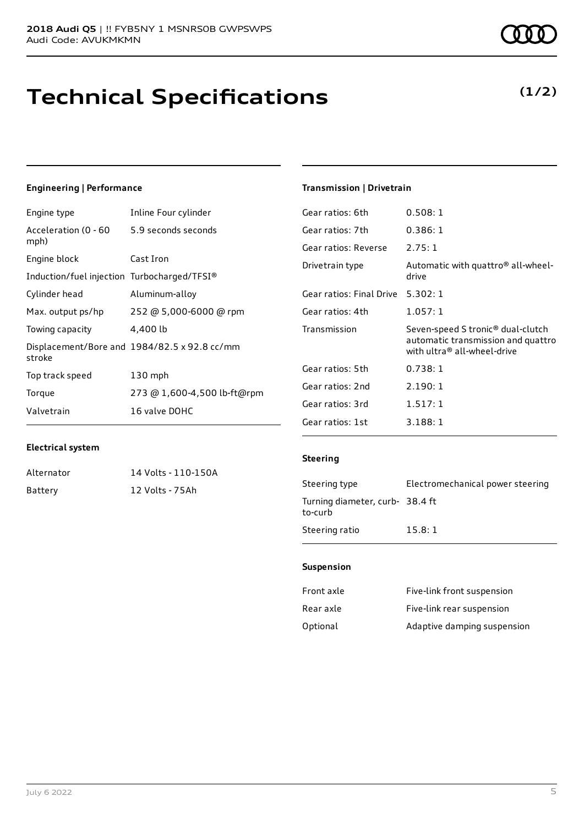## **Technical Specifications**

### **Engineering | Performance**

| Engine type                                 | Inline Four cylinder                         |
|---------------------------------------------|----------------------------------------------|
| Acceleration (0 - 60<br>mph)                | 5.9 seconds seconds                          |
| Engine block                                | Cast Iron                                    |
| Induction/fuel injection Turbocharged/TFSI® |                                              |
| Cylinder head                               | Aluminum-alloy                               |
| Max. output ps/hp                           | 252 @ 5,000-6000 @ rpm                       |
| Towing capacity                             | 4,400 lb                                     |
| stroke                                      | Displacement/Bore and 1984/82.5 x 92.8 cc/mm |
| Top track speed                             | $130$ mph                                    |
| Torque                                      | 273 @ 1,600-4,500 lb-ft@rpm                  |
| Valvetrain                                  | 16 valve DOHC                                |

#### **Transmission | Drivetrain**

| Gear ratios: 6th         | 0.508:1                                                                                                            |
|--------------------------|--------------------------------------------------------------------------------------------------------------------|
| Gear ratios: 7th         | 0.386:1                                                                                                            |
| Gear ratios: Reverse     | 2.75:1                                                                                                             |
| Drivetrain type          | Automatic with quattro <sup>®</sup> all-wheel-<br>drive                                                            |
| Gear ratios: Final Drive | 5.302:1                                                                                                            |
| Gear ratios: 4th         | 1.057:1                                                                                                            |
| Transmission             | Seven-speed S tronic <sup>®</sup> dual-clutch<br>automatic transmission and quattro<br>with ultra® all-wheel-drive |
| Gear ratios: 5th         | 0.738:1                                                                                                            |
| Gear ratios: 2nd         | 2.190:1                                                                                                            |
|                          |                                                                                                                    |
| Gear ratios: 3rd         | 1.517:1                                                                                                            |

#### **Electrical system**

Alternator 14 Volts - 110-150A Battery 12 Volts - 75Ah

#### **Steering**

| Steering type                             | Electromechanical power steering |
|-------------------------------------------|----------------------------------|
| Turning diameter, curb-38.4 ft<br>to-curb |                                  |
| Steering ratio                            | 15.8:1                           |

#### **Suspension**

| Front axle | Five-link front suspension  |
|------------|-----------------------------|
| Rear axle  | Five-link rear suspension   |
| Optional   | Adaptive damping suspension |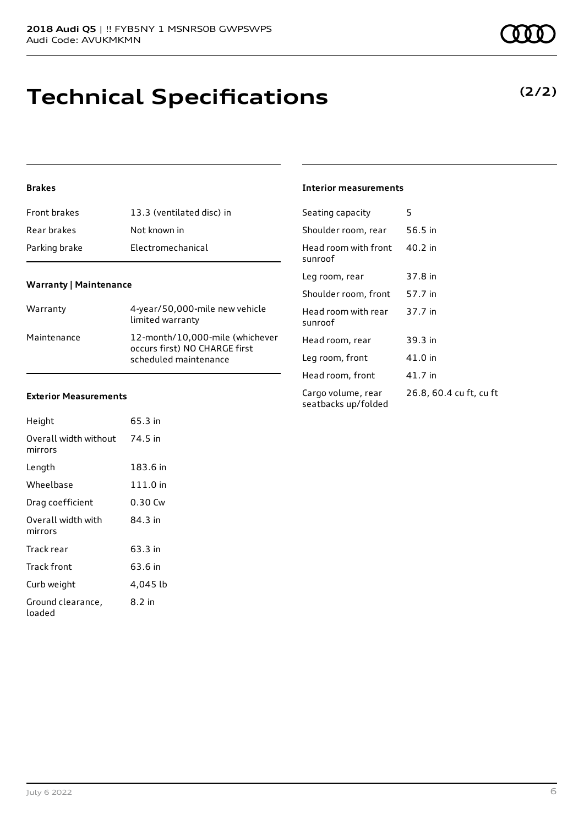## **Technical Specifications**

### **(2/2)**

#### **Brakes**

| <b>Front brakes</b> | 13.3 (ventilated disc) in |
|---------------------|---------------------------|
| Rear brakes         | Not known in              |
| Parking brake       | Electromechanical         |

#### **Warranty | Maintenance**

| Warranty    | 4-year/50,000-mile new vehicle<br>limited warranty                                        |
|-------------|-------------------------------------------------------------------------------------------|
| Maintenance | 12-month/10,000-mile (whichever<br>occurs first) NO CHARGE first<br>scheduled maintenance |

#### **Exterior Measurements**

| Height                           | 65.3 in  |
|----------------------------------|----------|
| Overall width without<br>mirrors | 74.5 in  |
| Length                           | 183.6 in |
| Wheelbase                        | 111.0 in |
| Drag coefficient                 | 0.30 Cw  |
| Overall width with<br>mirrors    | 84 3 in  |
| Track rear                       | 63.3 in  |
| Track front                      | 63.6 in  |
| Curb weight                      | 4,045 lb |
| Ground clearance,<br>loaded      | 8.2 in   |

#### **Interior measurements**

| Seating capacity                          | 5                       |
|-------------------------------------------|-------------------------|
| Shoulder room, rear                       | 56.5 in                 |
| Head room with front<br>sunroof           | 40.2 in                 |
| Leg room, rear                            | 37.8 in                 |
| Shoulder room, front                      | 57.7 in                 |
| Head room with rear<br>sunroof            | 37.7 in                 |
| Head room, rear                           | 39.3 in                 |
| Leg room, front                           | 41.0 in                 |
| Head room, front                          | 41.7 in                 |
| Cargo volume, rear<br>seatbacks up/folded | 26.8, 60.4 cu ft, cu ft |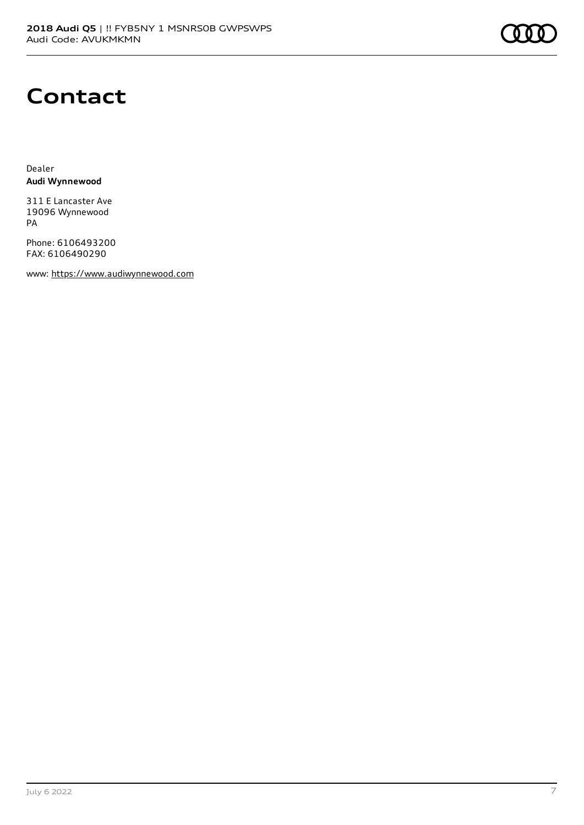

## **Contact**

Dealer **Audi Wynnewood**

311 E Lancaster Ave 19096 Wynnewood PA

Phone: 6106493200 FAX: 6106490290

www: [https://www.audiwynnewood.com](https://www.audiwynnewood.com/)